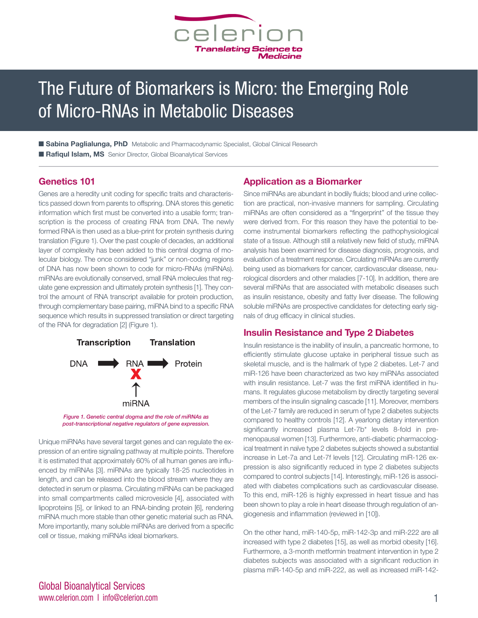

# The Future of Biomarkers is Micro: the Emerging Role of Micro-RNAs in Metabolic Diseases

**■ Sabina Paglialunga, PhD** Metabolic and Pharmacodynamic Specialist, Global Clinical Research ■ **Rafiqul Islam, MS** Senior Director, Global Bioanalytical Services

## **Genetics 101**

Genes are a heredity unit coding for specific traits and characteristics passed down from parents to offspring. DNA stores this genetic information which first must be converted into a usable form; transcription is the process of creating RNA from DNA. The newly formed RNA is then used as a blue-print for protein synthesis during translation (Figure 1). Over the past couple of decades, an additional layer of complexity has been added to this central dogma of molecular biology. The once considered "junk" or non-coding regions of DNA has now been shown to code for micro-RNAs (miRNAs). miRNAs are evolutionally conserved, small RNA molecules that regulate gene expression and ultimately protein synthesis [1]. They control the amount of RNA transcript available for protein production, through complementary base pairing, miRNA bind to a specific RNA sequence which results in suppressed translation or direct targeting of the RNA for degradation [2] (Figure 1).



*Figure 1. Genetic central dogma and the role of miRNAs as post-transcriptional negative regulators of gene expression.*

Unique miRNAs have several target genes and can regulate the expression of an entire signaling pathway at multiple points. Therefore it is estimated that approximately 60% of all human genes are influenced by miRNAs [3]. miRNAs are typically 18-25 nucleotides in length, and can be released into the blood stream where they are detected in serum or plasma. Circulating miRNAs can be packaged into small compartments called microvesicle [4], associated with lipoproteins [5], or linked to an RNA-binding protein [6], rendering miRNA much more stable than other genetic material such as RNA. More importantly, many soluble miRNAs are derived from a specific cell or tissue, making miRNAs ideal biomarkers.

## **Application as a Biomarker**

Since miRNAs are abundant in bodily fluids; blood and urine collection are practical, non-invasive manners for sampling. Circulating miRNAs are often considered as a "fingerprint" of the tissue they were derived from. For this reason they have the potential to become instrumental biomarkers reflecting the pathophysiological state of a tissue. Although still a relatively new field of study, miRNA analysis has been examined for disease diagnosis, prognosis, and evaluation of a treatment response. Circulating miRNAs are currently being used as biomarkers for cancer, cardiovascular disease, neurological disorders and other maladies [7-10]. In addition, there are several miRNAs that are associated with metabolic diseases such as insulin resistance, obesity and fatty liver disease. The following soluble miRNAs are prospective candidates for detecting early signals of drug efficacy in clinical studies.

#### **Insulin Resistance and Type 2 Diabetes**

Insulin resistance is the inability of insulin, a pancreatic hormone, to efficiently stimulate glucose uptake in peripheral tissue such as skeletal muscle, and is the hallmark of type 2 diabetes. Let-7 and miR-126 have been characterized as two key miRNAs associated with insulin resistance. Let-7 was the first miRNA identified in humans. It regulates glucose metabolism by directly targeting several members of the insulin signaling cascade [11]. Moreover, members of the Let-7 family are reduced in serum of type 2 diabetes subjects compared to healthy controls [12]. A yearlong dietary intervention significantly increased plasma Let-7b<sup>\*</sup> levels 8-fold in premenopausal women [13]. Furthermore, anti-diabetic pharmacological treatment in naïve type 2 diabetes subjects showed a substantial increase in Let-7a and Let-7f levels [12]. Circulating miR-126 expression is also significantly reduced in type 2 diabetes subjects compared to control subjects [14]. Interestingly, miR-126 is associated with diabetes complications such as cardiovascular disease. To this end, miR-126 is highly expressed in heart tissue and has been shown to play a role in heart disease through regulation of angiogenesis and inflammation (reviewed in [10]).

On the other hand, miR-140-5p, miR-142-3p and miR-222 are all increased with type 2 diabetes [15], as well as morbid obesity [16]. Furthermore, a 3-month metformin treatment intervention in type 2 diabetes subjects was associated with a significant reduction in plasma miR-140-5p and miR-222, as well as increased miR-142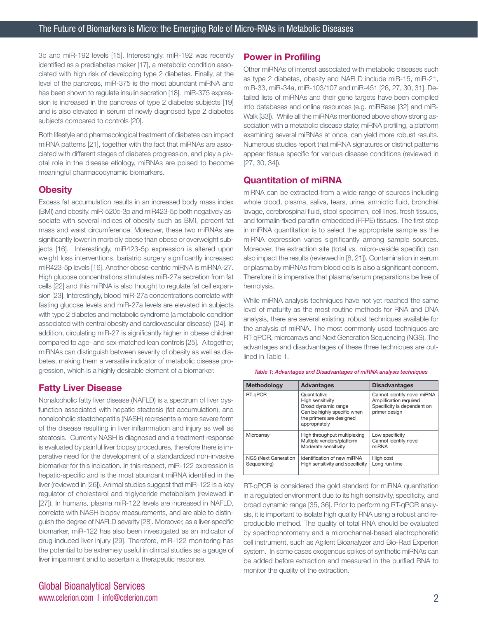3p and miR-192 levels [15]. Interestingly, miR-192 was recently identified as a prediabetes maker [17], a metabolic condition associated with high risk of developing type 2 diabetes. Finally, at the level of the pancreas, miR-375 is the most abundant miRNA and has been shown to regulate insulin secretion [18]. miR-375 expression is increased in the pancreas of type 2 diabetes subjects [19] and is also elevated in serum of newly diagnosed type 2 diabetes subjects compared to controls [20].

Both lifestyle and pharmacological treatment of diabetes can impact miRNA patterns [21], together with the fact that miRNAs are associated with different stages of diabetes progression, and play a pivotal role in the disease etiology, miRNAs are poised to become meaningful pharmacodynamic biomarkers.

## **Obesity**

Excess fat accumulation results in an increased body mass index (BMI) and obesity. miR-520c-3p and miR423-5p both negatively associate with several indices of obesity such as BMI, percent fat mass and waist circumference. Moreover, these two miRNAs are significantly lower in morbidly obese than obese or overweight subjects [16]. Interestingly, miR423-5p expression is altered upon weight loss interventions, bariatric surgery significantly increased miR423-5p levels [16]. Another obese-centric miRNA is miRNA-27. High glucose concentrations stimulates miR-27a secretion from fat cells [22] and this miRNA is also thought to regulate fat cell expansion [23]. Interestingly, blood miR-27a concentrations correlate with fasting glucose levels and miR-27a levels are elevated in subjects with type 2 diabetes and metabolic syndrome (a metabolic condition associated with central obesity and cardiovascular disease) [24]. In addition, circulating miR-27 is significantly higher in obese children compared to age- and sex-matched lean controls [25]. Altogether, miRNAs can distinguish between severity of obesity as well as diabetes, making them a versatile indicator of metabolic disease progression, which is a highly desirable element of a biomarker.

## **Fatty Liver Disease**

Nonalcoholic fatty liver disease (NAFLD) is a spectrum of liver dysfunction associated with hepatic steatosis (fat accumulation), and nonalcoholic steatohepatitis (NASH) represents a more severe form of the disease resulting in liver inflammation and injury as well as steatosis. Currently NASH is diagnosed and a treatment response is evaluated by painful liver biopsy procedures, therefore there is imperative need for the development of a standardized non-invasive biomarker for this indication. In this respect, miR-122 expression is hepatic-specific and is the most abundant miRNA identified in the liver (reviewed in [26]). Animal studies suggest that miR-122 is a key regulator of cholesterol and triglyceride metabolism (reviewed in [27]). In humans, plasma miR-122 levels are increased in NAFLD, correlate with NASH biopsy measurements, and are able to distinguish the degree of NAFLD severity [28]. Moreover, as a liver-specific biomarker, miR-122 has also been investigated as an indicator of drug-induced liver injury [29]. Therefore, miR-122 monitoring has the potential to be extremely useful in clinical studies as a gauge of liver impairment and to ascertain a therapeutic response.

## Global Bioanalytical Services www.celerion.com I info@celerion.com 2

## **Power in Profiling**

Other miRNAs of interest associated with metabolic diseases such as type 2 diabetes, obesity and NAFLD include miR-15, miR-21, miR-33, miR-34a, miR-103/107 and miR-451 [26, 27, 30, 31]. Detailed lists of miRNAs and their gene targets have been compiled into databases and online resources (e.g. miRBase [32] and miR-Walk [33]). While all the miRNAs mentioned above show strong association with a metabolic disease state; miRNA profiling, a platform examining several miRNAs at once, can yield more robust results. Numerous studies report that miRNA signatures or distinct patterns appear tissue specific for various disease conditions (reviewed in [27, 30, 34]).

## **Quantitation of miRNA**

miRNA can be extracted from a wide range of sources including whole blood, plasma, saliva, tears, urine, amniotic fluid, bronchial lavage, cerebrospinal fluid, stool specimen, cell lines, fresh tissues, and formalin-fixed paraffin-embedded (FFPE) tissues. The first step in miRNA quantitation is to select the appropriate sample as the miRNA expression varies significantly among sample sources. Moreover, the extraction site (total vs. micro-vesicle specific) can also impact the results (reviewed in [8, 21]). Contamination in serum or plasma by miRNAs from blood cells is also a significant concern. Therefore it is imperative that plasma/serum preparations be free of hemolysis.

While miRNA analysis techniques have not yet reached the same level of maturity as the most routine methods for RNA and DNA analysis, there are several existing, robust techniques available for the analysis of miRNA. The most commonly used techniques are RT-qPCR, microarrays and Next Generation Sequencing (NGS). The advantages and disadvantages of these three techniques are outlined in Table 1.

*Table 1: Advantages and Disadvantages of miRNA analysis techniques*

| Methodology                                | <b>Advantages</b>                                                                                                                   | <b>Disadvantages</b>                                                                                  |
|--------------------------------------------|-------------------------------------------------------------------------------------------------------------------------------------|-------------------------------------------------------------------------------------------------------|
| RT-qPCR                                    | Quantitative<br>High sensitivity<br>Broad dynamic range<br>Can be highly specific when<br>the primers are designed<br>appropriately | Cannot identify novel miRNA<br>Amplification required<br>Specificity is dependent on<br>primer design |
| Microarray                                 | High throughput multiplexing<br>Multiple vendors/platform<br>Moderate sensitivity                                                   | Low specificity<br>Cannot identify novel<br>miRNA                                                     |
| <b>NGS (Next Generation</b><br>Sequencing) | Identification of new miRNA<br>High sensitivity and specificity                                                                     | High cost<br>Long run time                                                                            |

RT-qPCR is considered the gold standard for miRNA quantitation in a regulated environment due to its high sensitivity, specificity, and broad dynamic range [35, 36]. Prior to performing RT-qPCR analysis, it is important to isolate high quality RNA using a robust and reproducible method. The quality of total RNA should be evaluated by spectrophotometry and a microchannel-based electrophoretic cell instrument, such as Agilent Bioanalyzer and Bio-Rad Experion system. In some cases exogenous spikes of synthetic miRNAs can be added before extraction and measured in the purified RNA to monitor the quality of the extraction.